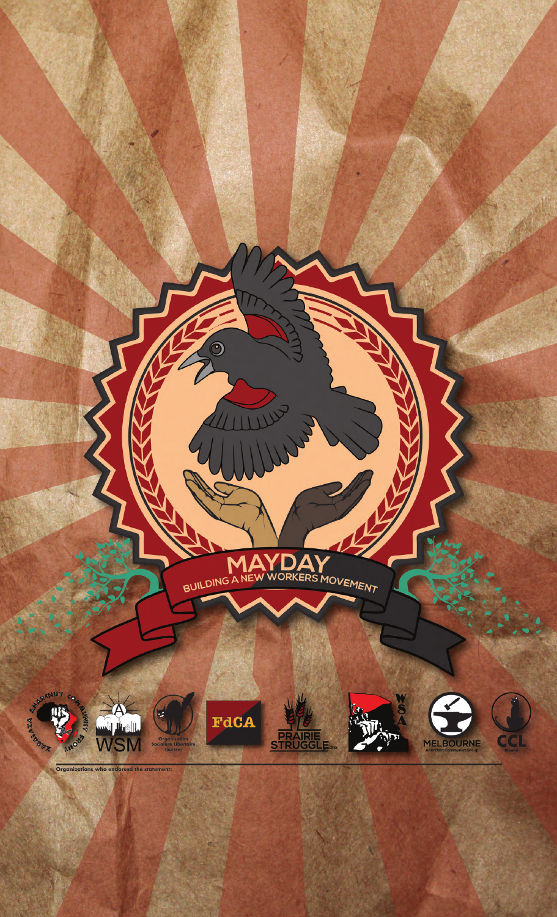